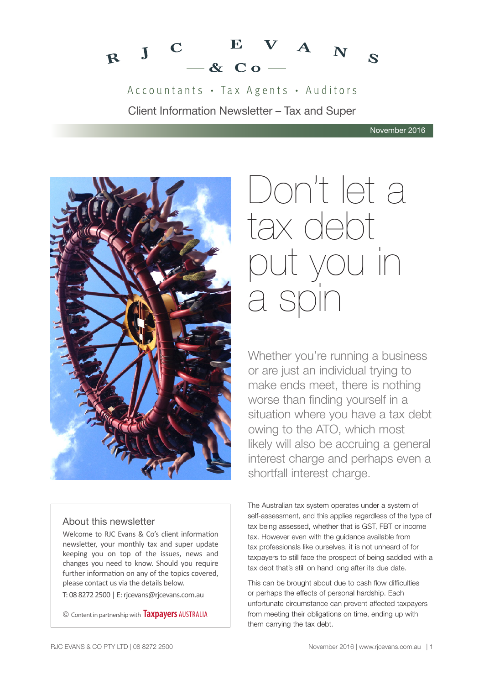

Accountants · Tax Agents · Auditors Client Information Newsletter – Tax and Super



#### About this newsletter

Welcome to RJC Evans & Co's client information newsletter, your monthly tax and super update keeping you on top of the issues, news and changes you need to know. Should you require further information on any of the topics covered, please contact us via the details below.

T: 08 8272 2500 | E: rjcevans@rjcevans.com.au

© Content in partnership with **Taxpayers** AUSTRALIA

# Don't let a tax debt put you in a spin

Whether you're running a business or are just an individual trying to make ends meet, there is nothing worse than finding yourself in a situation where you have a tax debt owing to the ATO, which most likely will also be accruing a general interest charge and perhaps even a shortfall interest charge.

The Australian tax system operates under a system of self-assessment, and this applies regardless of the type of tax being assessed, whether that is GST, FBT or income tax. However even with the guidance available from tax professionals like ourselves, it is not unheard of for taxpayers to still face the prospect of being saddled with a tax debt that's still on hand long after its due date.

This can be brought about due to cash flow difficulties or perhaps the effects of personal hardship. Each unfortunate circumstance can prevent affected taxpayers from meeting their obligations on time, ending up with them carrying the tax debt.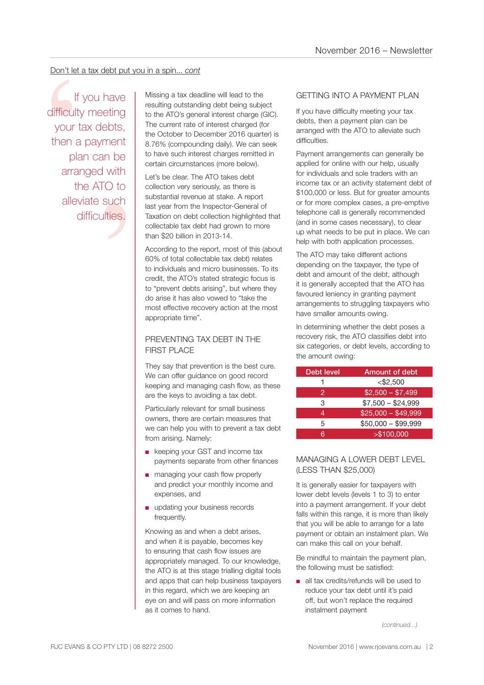#### Don't let a tax debt put you in a spin... *cont*

n be<br>
n be<br>
with<br>
O to<br>
such<br>
ties. If you have difficulty meeting your tax debts, then a payment plan can be arranged with the ATO to alleviate such difficulties.

Don't let a tax debt put you in a spin... cont<br>
If you have<br>
If you have<br>
If would have<br>
If itsing a tax deadline will lead to the<br>
resulting outstanding debt being subject to the ATO's general interest charged (for<br>
the A resulting outstanding debt being subject to the ATO's general interest charge (GIC). The current rate of interest charged (for the October to December 2016 quarter) is 8.76% (compounding daily). We can seek to have such interest charges remitted in certain circumstances (more below).

Let's be clear. The ATO takes debt collection very seriously, as there is substantial revenue at stake. A report last year from the Inspector-General of Taxation on debt collection highlighted that collectable tax debt had grown to more than \$20 billion in 2013-14.

According to the report, most of this (about 60% of total collectable tax debt) relates to individuals and micro businesses. To its credit, the ATO's stated strategic focus is to "prevent debts arising", but where they do arise it has also vowed to "take the most effective recovery action at the most appropriate time".

#### PREVENTING TAX DEBT IN THE **FIRST PLACE**

They say that prevention is the best cure. We can offer guidance on good record keeping and managing cash flow, as these are the keys to avoiding a tax debt.

Particularly relevant for small business owners, there are certain measures that we can help you with to prevent a tax debt from arising. Namely:

- keeping your GST and income tax payments separate from other finances
- managing your cash flow properly and predict your monthly income and expenses, and
- updating your business records frequently.

Knowing as and when a debt arises, and when it is payable, becomes key to ensuring that cash flow issues are appropriately managed. To our knowledge, the ATO is at this stage trialling digital tools and apps that can help business taxpayers in this regard, which we are keeping an eye on and will pass on more information as it comes to hand.

#### GETTING INTO A PAYMENT PLAN

If you have difficulty meeting your tax debts, then a payment plan can be arranged with the ATO to alleviate such difficulties.

Payment arrangements can generally be applied for online with our help, usually for individuals and sole traders with an income tax or an activity statement debt of \$100,000 or less. But for greater amounts or for more complex cases, a pre-emptive telephone call is generally recommended (and in some cases necessary), to clear up what needs to be put in place. We can help with both application processes.

The ATO may take different actions depending on the taxpayer, the type of debt and amount of the debt, although it is generally accepted that the ATO has favoured leniency in granting payment arrangements to struggling taxpayers who have smaller amounts owing.

In determining whether the debt poses a recovery risk, the ATO classifies debt into six categories, or debt levels, according to the amount owing:

| Debt level | Amount of debt      |
|------------|---------------------|
|            | $<$ \$2,500         |
| 2          | $$2,500 - $7,499$   |
| 3          | $$7,500 - $24,999$  |
| 4          | $$25,000 - $49,999$ |
| 5          | $$50,000 - $99,999$ |
| ิล         | > \$100,000         |

#### MANAGING A LOWER DEBT LEVEL (LESS THAN \$25,000)

It is generally easier for taxpayers with lower debt levels (levels 1 to 3) to enter into a payment arrangement. If your debt falls within this range, it is more than likely that you will be able to arrange for a late payment or obtain an instalment plan. We can make this call on your behalf.

Be mindful to maintain the payment plan, the following must be satisfied:

■ all tax credits/refunds will be used to reduce your tax debt until it's paid off, but won't replace the required instalment payment

*(continued...)*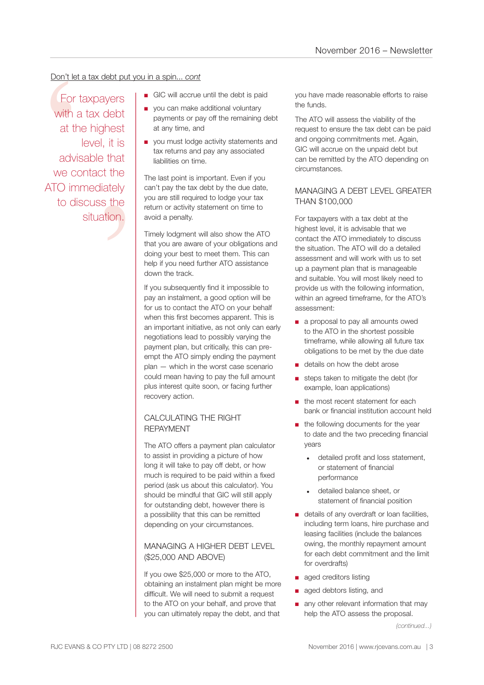#### Don't let a tax debt put you in a spin... *cont*

that<br>t the<br>ately<br>s the<br>tion. Don't let a<br>
For ta<br>
with a<br>
at the<br>
advis<br>
we con<br>
ATO imm<br>
to dis For taxpayers with a tax debt at the highest level, it is advisable that we contact the ATO immediately to discuss the situation.

- GIC will accrue until the debt is paid
- you can make additional voluntary payments or pay off the remaining debt at any time, and
- you must lodge activity statements and tax returns and pay any associated liabilities on time.

The last point is important. Even if you can't pay the tax debt by the due date, you are still required to lodge your tax return or activity statement on time to avoid a penalty.

Timely lodgment will also show the ATO that you are aware of your obligations and doing your best to meet them. This can help if you need further ATO assistance down the track.

If you subsequently find it impossible to pay an instalment, a good option will be for us to contact the ATO on your behalf when this first becomes apparent. This is an important initiative, as not only can early negotiations lead to possibly varying the payment plan, but critically, this can preempt the ATO simply ending the payment plan — which in the worst case scenario could mean having to pay the full amount plus interest quite soon, or facing further recovery action.

#### CALCULATING THE RIGHT REPAYMENT

The ATO offers a payment plan calculator to assist in providing a picture of how long it will take to pay off debt, or how much is required to be paid within a fixed period (ask us about this calculator). You should be mindful that GIC will still apply for outstanding debt, however there is a possibility that this can be remitted depending on your circumstances.

#### MANAGING A HIGHER DEBT LEVEL (\$25,000 AND ABOVE)

If you owe \$25,000 or more to the ATO, obtaining an instalment plan might be more difficult. We will need to submit a request to the ATO on your behalf, and prove that you can ultimately repay the debt, and that

you have made reasonable efforts to raise the funds.

The ATO will assess the viability of the request to ensure the tax debt can be paid and ongoing commitments met. Again, GIC will accrue on the unpaid debt but can be remitted by the ATO depending on circumstances.

#### MANAGING A DEBT LEVEL GREATER THAN \$100,000

For taxpayers with a tax debt at the highest level, it is advisable that we contact the ATO immediately to discuss the situation. The ATO will do a detailed assessment and will work with us to set up a payment plan that is manageable and suitable. You will most likely need to provide us with the following information, within an agreed timeframe, for the ATO's assessment:

- a proposal to pay all amounts owed to the ATO in the shortest possible timeframe, while allowing all future tax obligations to be met by the due date
- details on how the debt arose
- steps taken to mitigate the debt (for example, loan applications)
- the most recent statement for each bank or financial institution account held
- the following documents for the year to date and the two preceding financial years
	- detailed profit and loss statement, or statement of financial performance
	- detailed balance sheet, or statement of financial position
- details of any overdraft or loan facilities, including term loans, hire purchase and leasing facilities (include the balances owing, the monthly repayment amount for each debt commitment and the limit for overdrafts)
- aged creditors listing
- aged debtors listing, and
- any other relevant information that may help the ATO assess the proposal.

*<sup>(</sup>continued...)*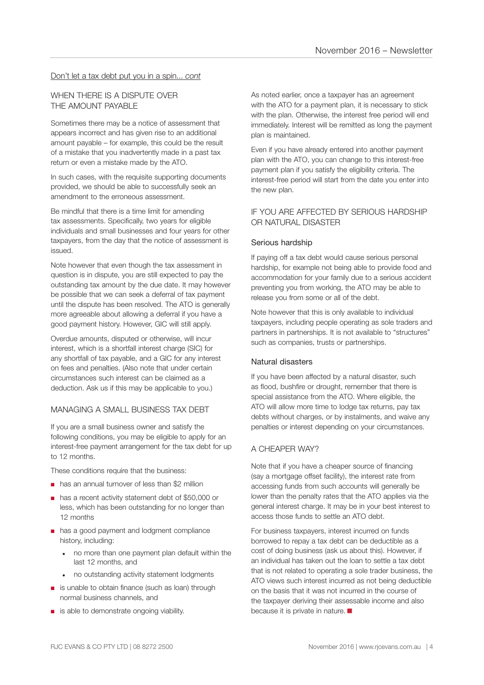#### Don't let a tax debt put you in a spin... *cont*

#### WHEN THERE IS A DISPUTE OVER THE AMOUNT PAYABLE

Sometimes there may be a notice of assessment that appears incorrect and has given rise to an additional amount payable – for example, this could be the result of a mistake that you inadvertently made in a past tax return or even a mistake made by the ATO.

In such cases, with the requisite supporting documents provided, we should be able to successfully seek an amendment to the erroneous assessment.

Be mindful that there is a time limit for amending tax assessments. Specifically, two years for eligible individuals and small businesses and four years for other taxpayers, from the day that the notice of assessment is issued.

Note however that even though the tax assessment in question is in dispute, you are still expected to pay the outstanding tax amount by the due date. It may however be possible that we can seek a deferral of tax payment until the dispute has been resolved. The ATO is generally more agreeable about allowing a deferral if you have a good payment history. However, GIC will still apply.

Overdue amounts, disputed or otherwise, will incur interest, which is a shortfall interest charge (SIC) for any shortfall of tax payable, and a GIC for any interest on fees and penalties. (Also note that under certain circumstances such interest can be claimed as a deduction. Ask us if this may be applicable to you.)

#### MANAGING A SMALL BUSINESS TAX DEBT

If you are a small business owner and satisfy the following conditions, you may be eligible to apply for an interest-free payment arrangement for the tax debt for up to 12 months.

These conditions require that the business:

- has an annual turnover of less than \$2 million
- has a recent activity statement debt of \$50,000 or less, which has been outstanding for no longer than 12 months
- has a good payment and lodgment compliance history, including:
	- no more than one payment plan default within the last 12 months, and
	- no outstanding activity statement lodgments
- is unable to obtain finance (such as loan) through normal business channels, and
- is able to demonstrate ongoing viability.

As noted earlier, once a taxpayer has an agreement with the ATO for a payment plan, it is necessary to stick with the plan. Otherwise, the interest free period will end immediately. Interest will be remitted as long the payment plan is maintained.

Even if you have already entered into another payment plan with the ATO, you can change to this interest-free payment plan if you satisfy the eligibility criteria. The interest-free period will start from the date you enter into the new plan.

#### IF YOU ARE AFFECTED BY SERIOUS HARDSHIP OR NATURAL DISASTER

#### Serious hardship

If paying off a tax debt would cause serious personal hardship, for example not being able to provide food and accommodation for your family due to a serious accident preventing you from working, the ATO may be able to release you from some or all of the debt.

Note however that this is only available to individual taxpayers, including people operating as sole traders and partners in partnerships. It is not available to "structures" such as companies, trusts or partnerships.

#### Natural disasters

If you have been affected by a natural disaster, such as flood, bushfire or drought, remember that there is special assistance from the ATO. Where eligible, the ATO will allow more time to lodge tax returns, pay tax debts without charges, or by instalments, and waive any penalties or interest depending on your circumstances.

#### A CHEAPER WAY?

Note that if you have a cheaper source of financing (say a mortgage offset facility), the interest rate from accessing funds from such accounts will generally be lower than the penalty rates that the ATO applies via the general interest charge. It may be in your best interest to access those funds to settle an ATO debt.

For business taxpayers, interest incurred on funds borrowed to repay a tax debt can be deductible as a cost of doing business (ask us about this). However, if an individual has taken out the loan to settle a tax debt that is not related to operating a sole trader business, the ATO views such interest incurred as not being deductible on the basis that it was not incurred in the course of the taxpayer deriving their assessable income and also because it is private in nature.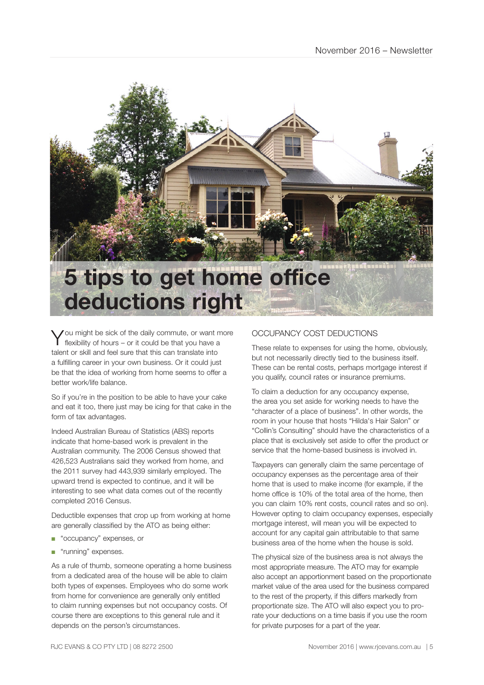

You might be sick of the daily commute, or want more flexibility of hours – or it could be that you have a talent or skill and feel sure that this can translate into a fulfilling career in your own business. Or it could just be that the idea of working from home seems to offer a better work/life balance.

So if you're in the position to be able to have your cake and eat it too, there just may be icing for that cake in the form of tax advantages.

Indeed Australian Bureau of Statistics (ABS) reports indicate that home-based work is prevalent in the Australian community. The 2006 Census showed that 426,523 Australians said they worked from home, and the 2011 survey had 443,939 similarly employed. The upward trend is expected to continue, and it will be interesting to see what data comes out of the recently completed 2016 Census.

Deductible expenses that crop up from working at home are generally classified by the ATO as being either:

- "occupancy" expenses, or
- "running" expenses.

As a rule of thumb, someone operating a home business from a dedicated area of the house will be able to claim both types of expenses. Employees who do some work from home for convenience are generally only entitled to claim running expenses but not occupancy costs. Of course there are exceptions to this general rule and it depends on the person's circumstances.

#### OCCUPANCY COST DEDUCTIONS

These relate to expenses for using the home, obviously, but not necessarily directly tied to the business itself. These can be rental costs, perhaps mortgage interest if you qualify, council rates or insurance premiums.

To claim a deduction for any occupancy expense, the area you set aside for working needs to have the "character of a place of business". In other words, the room in your house that hosts "Hilda's Hair Salon" or "Collin's Consulting" should have the characteristics of a place that is exclusively set aside to offer the product or service that the home-based business is involved in.

Taxpayers can generally claim the same percentage of occupancy expenses as the percentage area of their home that is used to make income (for example, if the home office is 10% of the total area of the home, then you can claim 10% rent costs, council rates and so on). However opting to claim occupancy expenses, especially mortgage interest, will mean you will be expected to account for any capital gain attributable to that same business area of the home when the house is sold.

The physical size of the business area is not always the most appropriate measure. The ATO may for example also accept an apportionment based on the proportionate market value of the area used for the business compared to the rest of the property, if this differs markedly from proportionate size. The ATO will also expect you to prorate your deductions on a time basis if you use the room for private purposes for a part of the year.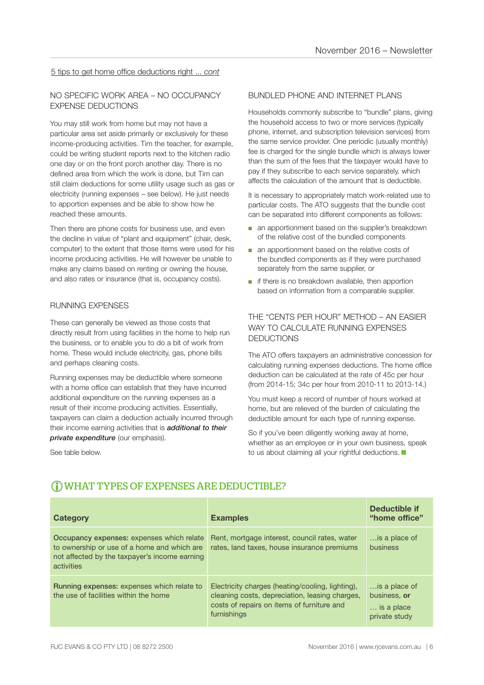#### 5 tips to get home office deductions right ... *cont*

#### NO SPECIFIC WORK AREA – NO OCCUPANCY EXPENSE DEDUCTIONS

You may still work from home but may not have a particular area set aside primarily or exclusively for these income-producing activities. Tim the teacher, for example, could be writing student reports next to the kitchen radio one day or on the front porch another day. There is no defined area from which the work is done, but Tim can still claim deductions for some utility usage such as gas or electricity (running expenses – see below). He just needs to apportion expenses and be able to show how he reached these amounts.

Then there are phone costs for business use, and even the decline in value of "plant and equipment" (chair, desk, computer) to the extent that those items were used for his income producing activities. He will however be unable to make any claims based on renting or owning the house, and also rates or insurance (that is, occupancy costs).

#### RUNNING EXPENSES

These can generally be viewed as those costs that directly result from using facilities in the home to help run the business, or to enable you to do a bit of work from home. These would include electricity, gas, phone bills and perhaps cleaning costs.

Running expenses may be deductible where someone with a home office can establish that they have incurred additional expenditure on the running expenses as a result of their income producing activities. Essentially, taxpayers can claim a deduction actually incurred through their income earning activities that is *additional to their private expenditure* (our emphasis).

See table below.

#### BUNDLED PHONE AND INTERNET PLANS

Households commonly subscribe to "bundle" plans, giving the household access to two or more services (typically phone, internet, and subscription television services) from the same service provider. One periodic (usually monthly) fee is charged for the single bundle which is always lower than the sum of the fees that the taxpayer would have to pay if they subscribe to each service separately, which affects the calculation of the amount that is deductible.

It is necessary to appropriately match work-related use to particular costs. The ATO suggests that the bundle cost can be separated into different components as follows:

- an apportionment based on the supplier's breakdown of the relative cost of the bundled components
- an apportionment based on the relative costs of the bundled components as if they were purchased separately from the same supplier, or
- if there is no breakdown available, then apportion based on information from a comparable supplier.

#### THE "CENTS PER HOUR" METHOD – AN EASIER WAY TO CALCULATE RUNNING EXPENSES DEDUCTIONS

The ATO offers taxpayers an administrative concession for calculating running expenses deductions. The home office deduction can be calculated at the rate of 45c per hour (from 2014-15; 34c per hour from 2010-11 to 2013-14.)

You must keep a record of number of hours worked at home, but are relieved of the burden of calculating the deductible amount for each type of running expense.

So if you've been diligently working away at home, whether as an employee or in your own business, speak to us about claiming all your rightful deductions.

| <b>Category</b>                                                                                                                                         | <b>Examples</b>                                                                                                                                                 | Deductible if<br>"home office"                               |
|---------------------------------------------------------------------------------------------------------------------------------------------------------|-----------------------------------------------------------------------------------------------------------------------------------------------------------------|--------------------------------------------------------------|
| Occupancy expenses: expenses which relate<br>to ownership or use of a home and which are<br>not affected by the taxpayer's income earning<br>activities | Rent, mortgage interest, council rates, water<br>rates, land taxes, house insurance premiums                                                                    | is a place of<br>business                                    |
| <b>Running expenses: expenses which relate to</b><br>the use of facilities within the home                                                              | Electricity charges (heating/cooling, lighting),<br>cleaning costs, depreciation, leasing charges,<br>costs of repairs on items of furniture and<br>furnishings | is a place of<br>business, or<br>is a place<br>private study |

#### WHAT TYPES OF EXPENSES ARE DEDUCTIBLE?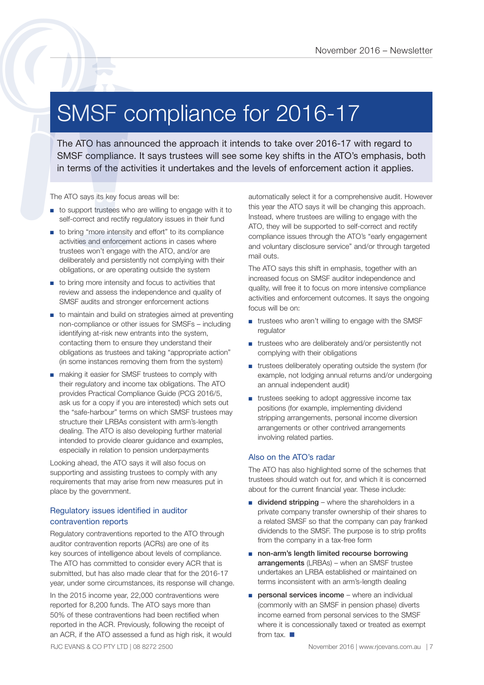### SMSF compliance for 2016-17

The ATO has announced the approach it intends to take over 2016-17 with regard to SMSF compliance for 2016 - Newslette<br>
SMSF compliance the approach it intends to take over 2016-17 with regard to<br>
SMSF compliance. It says trustees will see some key shifts in the ATO's emphasis, both<br>
in terms of the act

The ATO says its key focus areas will be:

- to support trustees who are willing to engage with it to self-correct and rectify regulatory issues in their fund
- to bring "more intensity and effort" to its compliance activities and enforcement actions in cases where trustees won't engage with the ATO, and/or are deliberately and persistently not complying with their obligations, or are operating outside the system
- to bring more intensity and focus to activities that review and assess the independence and quality of SMSF audits and stronger enforcement actions
- to maintain and build on strategies aimed at preventing non-compliance or other issues for SMSFs – including identifying at-risk new entrants into the system, contacting them to ensure they understand their obligations as trustees and taking "appropriate action" (in some instances removing them from the system)
- making it easier for SMSF trustees to comply with their regulatory and income tax obligations. The ATO provides Practical Compliance Guide (PCG 2016/5, ask us for a copy if you are interested) which sets out the "safe-harbour" terms on which SMSF trustees may structure their LRBAs consistent with arm's-length dealing. The ATO is also developing further material intended to provide clearer guidance and examples, especially in relation to pension underpayments

Looking ahead, the ATO says it will also focus on supporting and assisting trustees to comply with any requirements that may arise from new measures put in place by the government.

#### Regulatory issues identified in auditor contravention reports

Regulatory contraventions reported to the ATO through auditor contravention reports (ACRs) are one of its key sources of intelligence about levels of compliance. The ATO has committed to consider every ACR that is submitted, but has also made clear that for the 2016-17 year, under some circumstances, its response will change.

In the 2015 income year, 22,000 contraventions were reported for 8,200 funds. The ATO says more than 50% of these contraventions had been rectified when reported in the ACR. Previously, following the receipt of an ACR, if the ATO assessed a fund as high risk, it would automatically select it for a comprehensive audit. However this year the ATO says it will be changing this approach. Instead, where trustees are willing to engage with the ATO, they will be supported to self-correct and rectify compliance issues through the ATO's "early engagement and voluntary disclosure service" and/or through targeted mail outs.

The ATO says this shift in emphasis, together with an increased focus on SMSF auditor independence and quality, will free it to focus on more intensive compliance activities and enforcement outcomes. It says the ongoing focus will be on:

- trustees who aren't willing to engage with the SMSF regulator
- trustees who are deliberately and/or persistently not complying with their obligations
- trustees deliberately operating outside the system (for example, not lodging annual returns and/or undergoing an annual independent audit)
- trustees seeking to adopt aggressive income tax positions (for example, implementing dividend stripping arrangements, personal income diversion arrangements or other contrived arrangements involving related parties.

#### Also on the ATO's radar

The ATO has also highlighted some of the schemes that trustees should watch out for, and which it is concerned about for the current financial year. These include:

- dividend stripping where the shareholders in a private company transfer ownership of their shares to a related SMSF so that the company can pay franked dividends to the SMSF. The purpose is to strip profits from the company in a tax-free form
- non-arm's length limited recourse borrowing arrangements (LRBAs) – when an SMSF trustee undertakes an LRBA established or maintained on terms inconsistent with an arm's-length dealing
- personal services income where an individual (commonly with an SMSF in pension phase) diverts income earned from personal services to the SMSF where it is concessionally taxed or treated as exempt from tax.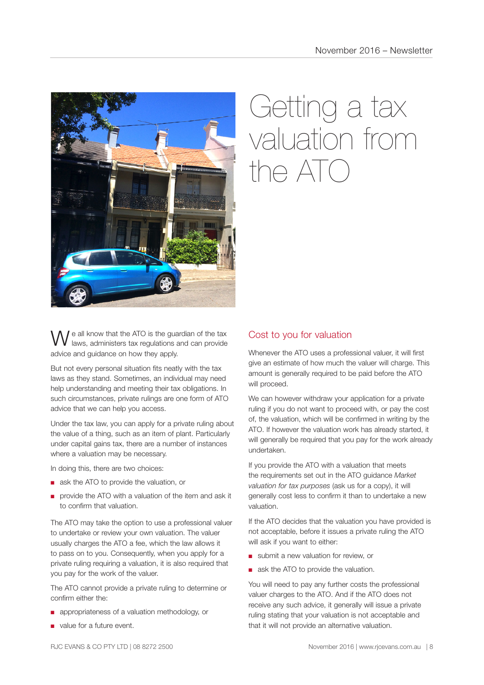

## Getting a tax valuation from  $n \in A$ TO

e all know that the ATO is the guardian of the tax laws, administers tax regulations and can provide advice and guidance on how they apply.

But not every personal situation fits neatly with the tax laws as they stand. Sometimes, an individual may need help understanding and meeting their tax obligations. In such circumstances, private rulings are one form of ATO advice that we can help you access.

Under the tax law, you can apply for a private ruling about the value of a thing, such as an item of plant. Particularly under capital gains tax, there are a number of instances where a valuation may be necessary.

In doing this, there are two choices:

- ask the ATO to provide the valuation, or
- provide the ATO with a valuation of the item and ask it to confirm that valuation.

The ATO may take the option to use a professional valuer to undertake or review your own valuation. The valuer usually charges the ATO a fee, which the law allows it to pass on to you. Consequently, when you apply for a private ruling requiring a valuation, it is also required that you pay for the work of the valuer.

The ATO cannot provide a private ruling to determine or confirm either the:

- appropriateness of a valuation methodology, or
- value for a future event.

#### Cost to you for valuation

Whenever the ATO uses a professional valuer, it will first give an estimate of how much the valuer will charge. This amount is generally required to be paid before the ATO will proceed.

We can however withdraw your application for a private ruling if you do not want to proceed with, or pay the cost of, the valuation, which will be confirmed in writing by the ATO. If however the valuation work has already started, it will generally be required that you pay for the work already undertaken.

If you provide the ATO with a valuation that meets the requirements set out in the ATO guidance *Market valuation for tax purposes* (ask us for a copy), it will generally cost less to confirm it than to undertake a new valuation.

If the ATO decides that the valuation you have provided is not acceptable, before it issues a private ruling the ATO will ask if you want to either:

- submit a new valuation for review, or
- ask the ATO to provide the valuation.

You will need to pay any further costs the professional valuer charges to the ATO. And if the ATO does not receive any such advice, it generally will issue a private ruling stating that your valuation is not acceptable and that it will not provide an alternative valuation.